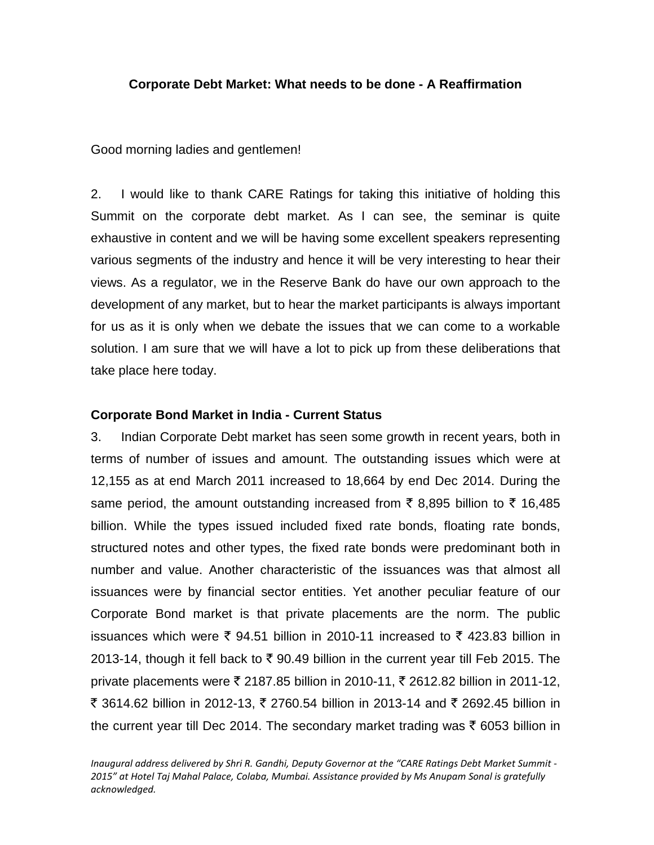## **Corporate Debt Market: What needs to be done - A Reaffirmation**

Good morning ladies and gentlemen!

2. I would like to thank CARE Ratings for taking this initiative of holding this Summit on the corporate debt market. As I can see, the seminar is quite exhaustive in content and we will be having some excellent speakers representing various segments of the industry and hence it will be very interesting to hear their views. As a regulator, we in the Reserve Bank do have our own approach to the development of any market, but to hear the market participants is always important for us as it is only when we debate the issues that we can come to a workable solution. I am sure that we will have a lot to pick up from these deliberations that take place here today.

# **Corporate Bond Market in India - Current Status**

3. Indian Corporate Debt market has seen some growth in recent years, both in terms of number of issues and amount. The outstanding issues which were at 12,155 as at end March 2011 increased to 18,664 by end Dec 2014. During the same period, the amount outstanding increased from  $\bar{\tau}$  8,895 billion to  $\bar{\tau}$  16,485 billion. While the types issued included fixed rate bonds, floating rate bonds, structured notes and other types, the fixed rate bonds were predominant both in number and value. Another characteristic of the issuances was that almost all issuances were by financial sector entities. Yet another peculiar feature of our Corporate Bond market is that private placements are the norm. The public issuances which were  $\bar{\xi}$  94.51 billion in 2010-11 increased to  $\bar{\xi}$  423.83 billion in 2013-14, though it fell back to  $\bar{\tau}$  90.49 billion in the current year till Feb 2015. The private placements were ₹ 2187.85 billion in 2010-11, ₹ 2612.82 billion in 2011-12, ₹ 3614.62 billion in 2012-13, ₹ 2760.54 billion in 2013-14 and ₹ 2692.45 billion in the current year till Dec 2014. The secondary market trading was  $\bar{\tau}$  6053 billion in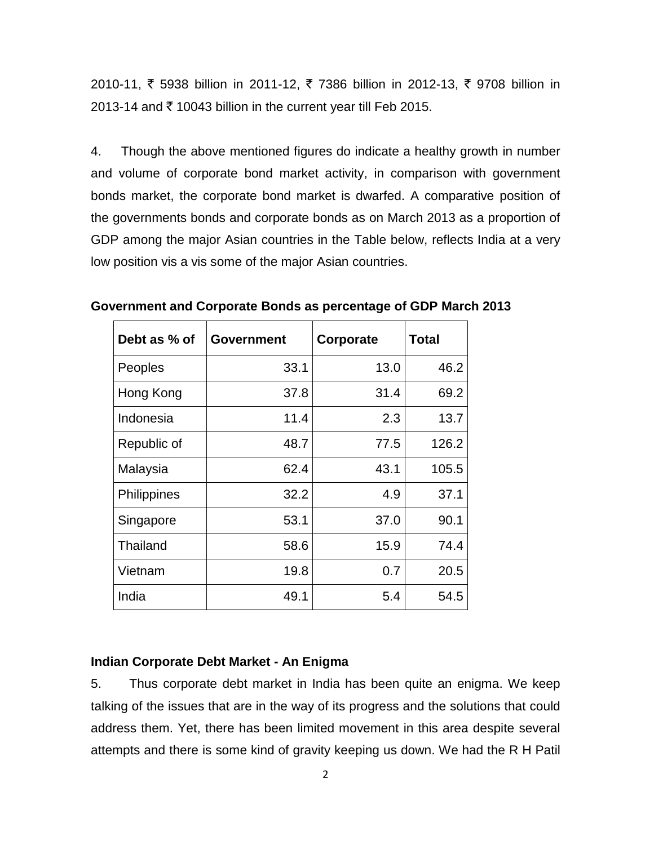2010-11, ₹ 5938 billion in 2011-12, ₹ 7386 billion in 2012-13, ₹ 9708 billion in 2013-14 and  $\bar{\tau}$  10043 billion in the current year till Feb 2015.

4. Though the above mentioned figures do indicate a healthy growth in number and volume of corporate bond market activity, in comparison with government bonds market, the corporate bond market is dwarfed. A comparative position of the governments bonds and corporate bonds as on March 2013 as a proportion of GDP among the major Asian countries in the Table below, reflects India at a very low position vis a vis some of the major Asian countries.

| Debt as % of    | <b>Government</b> | Corporate | <b>Total</b> |
|-----------------|-------------------|-----------|--------------|
| Peoples         | 33.1              | 13.0      | 46.2         |
| Hong Kong       | 37.8              | 31.4      | 69.2         |
| Indonesia       | 11.4              | 2.3       | 13.7         |
| Republic of     | 48.7              | 77.5      | 126.2        |
| Malaysia        | 62.4              | 43.1      | 105.5        |
| Philippines     | 32.2              | 4.9       | 37.1         |
| Singapore       | 53.1              | 37.0      | 90.1         |
| <b>Thailand</b> | 58.6              | 15.9      | 74.4         |
| Vietnam         | 19.8              | 0.7       | 20.5         |
| India           | 49.1              | 5.4       | 54.5         |

**Government and Corporate Bonds as percentage of GDP March 2013**

#### **Indian Corporate Debt Market - An Enigma**

5. Thus corporate debt market in India has been quite an enigma. We keep talking of the issues that are in the way of its progress and the solutions that could address them. Yet, there has been limited movement in this area despite several attempts and there is some kind of gravity keeping us down. We had the R H Patil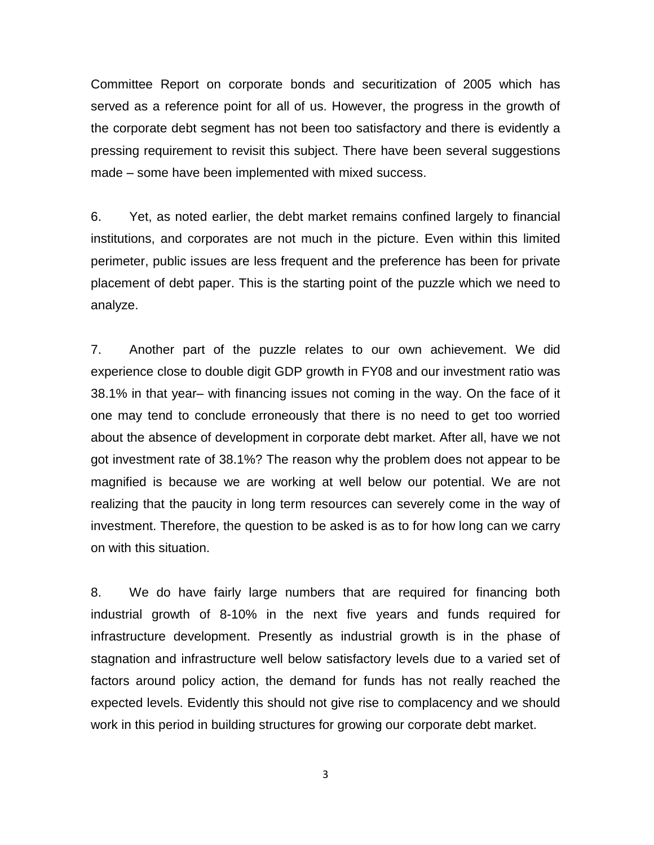Committee Report on corporate bonds and securitization of 2005 which has served as a reference point for all of us. However, the progress in the growth of the corporate debt segment has not been too satisfactory and there is evidently a pressing requirement to revisit this subject. There have been several suggestions made – some have been implemented with mixed success.

6. Yet, as noted earlier, the debt market remains confined largely to financial institutions, and corporates are not much in the picture. Even within this limited perimeter, public issues are less frequent and the preference has been for private placement of debt paper. This is the starting point of the puzzle which we need to analyze.

7. Another part of the puzzle relates to our own achievement. We did experience close to double digit GDP growth in FY08 and our investment ratio was 38.1% in that year– with financing issues not coming in the way. On the face of it one may tend to conclude erroneously that there is no need to get too worried about the absence of development in corporate debt market. After all, have we not got investment rate of 38.1%? The reason why the problem does not appear to be magnified is because we are working at well below our potential. We are not realizing that the paucity in long term resources can severely come in the way of investment. Therefore, the question to be asked is as to for how long can we carry on with this situation.

8. We do have fairly large numbers that are required for financing both industrial growth of 8-10% in the next five years and funds required for infrastructure development. Presently as industrial growth is in the phase of stagnation and infrastructure well below satisfactory levels due to a varied set of factors around policy action, the demand for funds has not really reached the expected levels. Evidently this should not give rise to complacency and we should work in this period in building structures for growing our corporate debt market.

3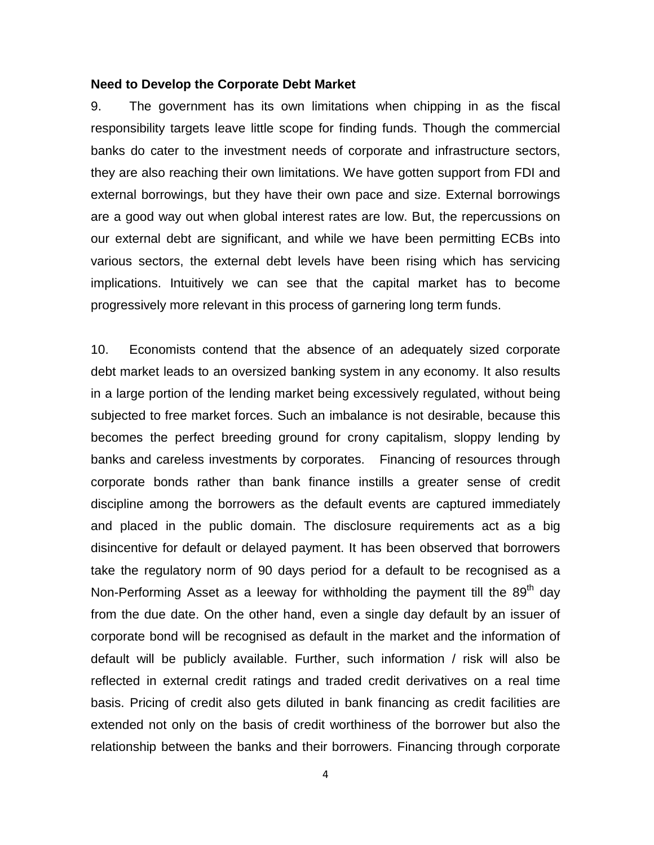#### **Need to Develop the Corporate Debt Market**

9. The government has its own limitations when chipping in as the fiscal responsibility targets leave little scope for finding funds. Though the commercial banks do cater to the investment needs of corporate and infrastructure sectors, they are also reaching their own limitations. We have gotten support from FDI and external borrowings, but they have their own pace and size. External borrowings are a good way out when global interest rates are low. But, the repercussions on our external debt are significant, and while we have been permitting ECBs into various sectors, the external debt levels have been rising which has servicing implications. Intuitively we can see that the capital market has to become progressively more relevant in this process of garnering long term funds.

10. Economists contend that the absence of an adequately sized corporate debt market leads to an oversized banking system in any economy. It also results in a large portion of the lending market being excessively regulated, without being subjected to free market forces. Such an imbalance is not desirable, because this becomes the perfect breeding ground for crony capitalism, sloppy lending by banks and careless investments by corporates. Financing of resources through corporate bonds rather than bank finance instills a greater sense of credit discipline among the borrowers as the default events are captured immediately and placed in the public domain. The disclosure requirements act as a big disincentive for default or delayed payment. It has been observed that borrowers take the regulatory norm of 90 days period for a default to be recognised as a Non-Performing Asset as a leeway for withholding the payment till the  $89<sup>th</sup>$  day from the due date. On the other hand, even a single day default by an issuer of corporate bond will be recognised as default in the market and the information of default will be publicly available. Further, such information / risk will also be reflected in external credit ratings and traded credit derivatives on a real time basis. Pricing of credit also gets diluted in bank financing as credit facilities are extended not only on the basis of credit worthiness of the borrower but also the relationship between the banks and their borrowers. Financing through corporate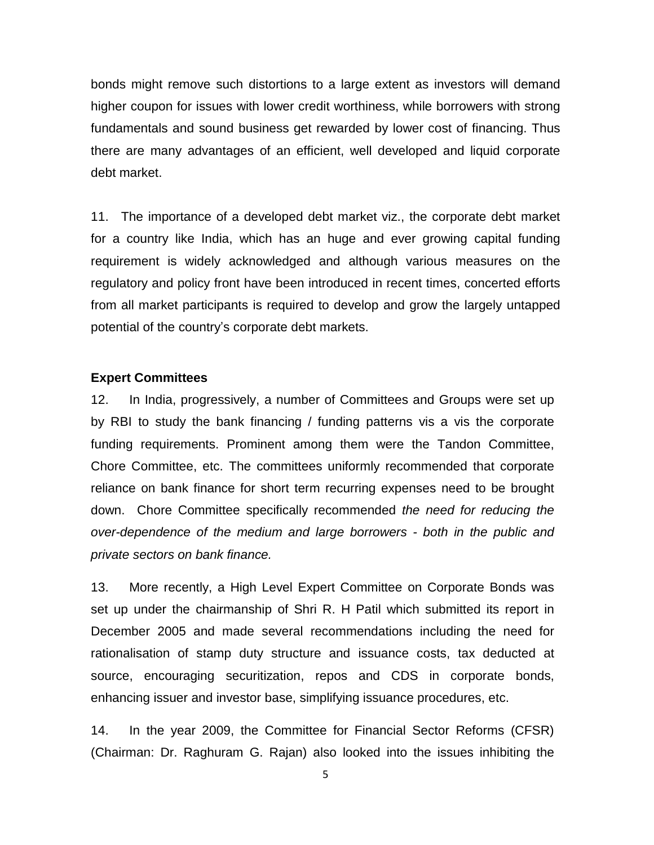bonds might remove such distortions to a large extent as investors will demand higher coupon for issues with lower credit worthiness, while borrowers with strong fundamentals and sound business get rewarded by lower cost of financing. Thus there are many advantages of an efficient, well developed and liquid corporate debt market.

11. The importance of a developed debt market viz., the corporate debt market for a country like India, which has an huge and ever growing capital funding requirement is widely acknowledged and although various measures on the regulatory and policy front have been introduced in recent times, concerted efforts from all market participants is required to develop and grow the largely untapped potential of the country's corporate debt markets.

#### **Expert Committees**

12. In India, progressively, a number of Committees and Groups were set up by RBI to study the bank financing / funding patterns vis a vis the corporate funding requirements. Prominent among them were the Tandon Committee, Chore Committee, etc. The committees uniformly recommended that corporate reliance on bank finance for short term recurring expenses need to be brought down. Chore Committee specifically recommended *the need for reducing the over-dependence of the medium and large borrowers - both in the public and private sectors on bank finance.*

13. More recently, a High Level Expert Committee on Corporate Bonds was set up under the chairmanship of Shri R. H Patil which submitted its report in December 2005 and made several recommendations including the need for rationalisation of stamp duty structure and issuance costs, tax deducted at source, encouraging securitization, repos and CDS in corporate bonds, enhancing issuer and investor base, simplifying issuance procedures, etc.

14. In the year 2009, the Committee for Financial Sector Reforms (CFSR) (Chairman: Dr. Raghuram G. Rajan) also looked into the issues inhibiting the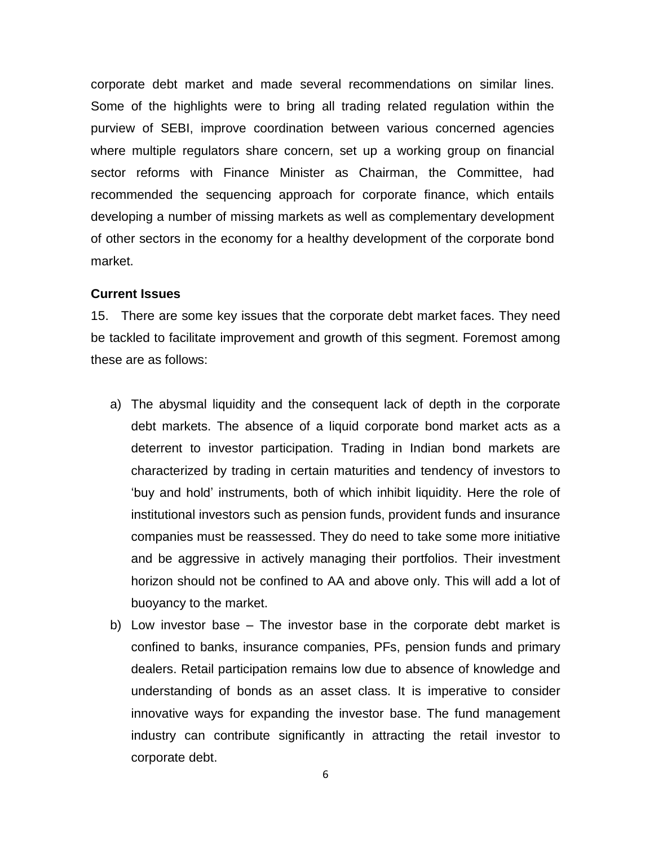corporate debt market and made several recommendations on similar lines. Some of the highlights were to bring all trading related regulation within the purview of SEBI, improve coordination between various concerned agencies where multiple regulators share concern, set up a working group on financial sector reforms with Finance Minister as Chairman, the Committee, had recommended the sequencing approach for corporate finance, which entails developing a number of missing markets as well as complementary development of other sectors in the economy for a healthy development of the corporate bond market.

#### **Current Issues**

15. There are some key issues that the corporate debt market faces. They need be tackled to facilitate improvement and growth of this segment. Foremost among these are as follows:

- a) The abysmal liquidity and the consequent lack of depth in the corporate debt markets. The absence of a liquid corporate bond market acts as a deterrent to investor participation. Trading in Indian bond markets are characterized by trading in certain maturities and tendency of investors to 'buy and hold' instruments, both of which inhibit liquidity. Here the role of institutional investors such as pension funds, provident funds and insurance companies must be reassessed. They do need to take some more initiative and be aggressive in actively managing their portfolios. Their investment horizon should not be confined to AA and above only. This will add a lot of buoyancy to the market.
- b) Low investor base The investor base in the corporate debt market is confined to banks, insurance companies, PFs, pension funds and primary dealers. Retail participation remains low due to absence of knowledge and understanding of bonds as an asset class. It is imperative to consider innovative ways for expanding the investor base. The fund management industry can contribute significantly in attracting the retail investor to corporate debt.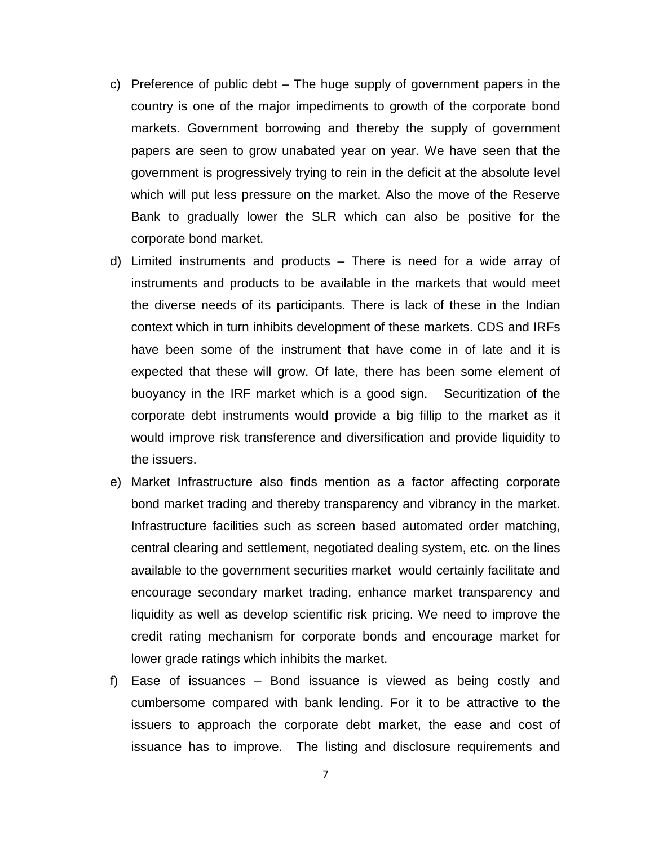- c) Preference of public debt The huge supply of government papers in the country is one of the major impediments to growth of the corporate bond markets. Government borrowing and thereby the supply of government papers are seen to grow unabated year on year. We have seen that the government is progressively trying to rein in the deficit at the absolute level which will put less pressure on the market. Also the move of the Reserve Bank to gradually lower the SLR which can also be positive for the corporate bond market.
- d) Limited instruments and products There is need for a wide array of instruments and products to be available in the markets that would meet the diverse needs of its participants. There is lack of these in the Indian context which in turn inhibits development of these markets. CDS and IRFs have been some of the instrument that have come in of late and it is expected that these will grow. Of late, there has been some element of buoyancy in the IRF market which is a good sign. Securitization of the corporate debt instruments would provide a big fillip to the market as it would improve risk transference and diversification and provide liquidity to the issuers.
- e) Market Infrastructure also finds mention as a factor affecting corporate bond market trading and thereby transparency and vibrancy in the market. Infrastructure facilities such as screen based automated order matching, central clearing and settlement, negotiated dealing system, etc. on the lines available to the government securities market would certainly facilitate and encourage secondary market trading, enhance market transparency and liquidity as well as develop scientific risk pricing. We need to improve the credit rating mechanism for corporate bonds and encourage market for lower grade ratings which inhibits the market.
- f) Ease of issuances Bond issuance is viewed as being costly and cumbersome compared with bank lending. For it to be attractive to the issuers to approach the corporate debt market, the ease and cost of issuance has to improve. The listing and disclosure requirements and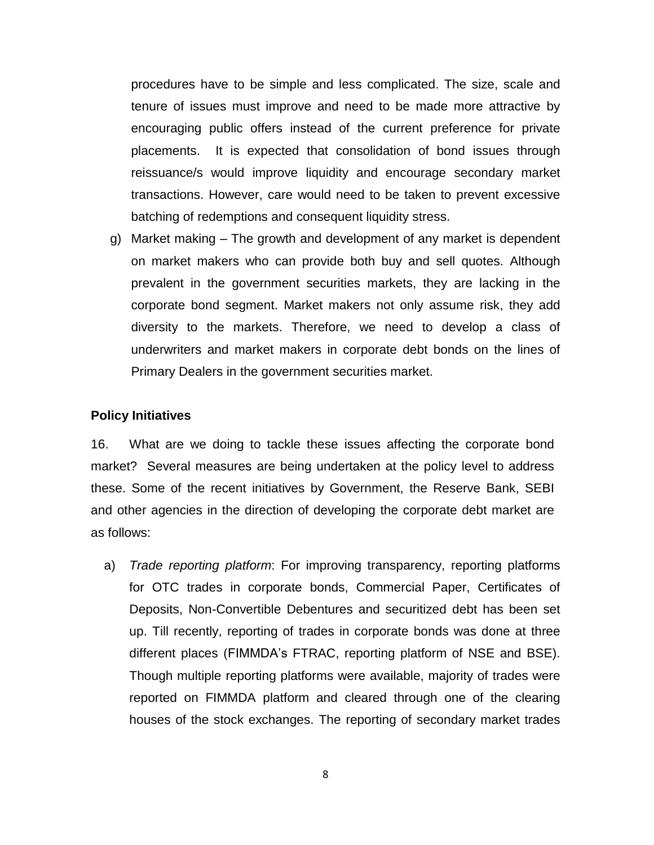procedures have to be simple and less complicated. The size, scale and tenure of issues must improve and need to be made more attractive by encouraging public offers instead of the current preference for private placements. It is expected that consolidation of bond issues through reissuance/s would improve liquidity and encourage secondary market transactions. However, care would need to be taken to prevent excessive batching of redemptions and consequent liquidity stress.

g) Market making – The growth and development of any market is dependent on market makers who can provide both buy and sell quotes. Although prevalent in the government securities markets, they are lacking in the corporate bond segment. Market makers not only assume risk, they add diversity to the markets. Therefore, we need to develop a class of underwriters and market makers in corporate debt bonds on the lines of Primary Dealers in the government securities market.

#### **Policy Initiatives**

16. What are we doing to tackle these issues affecting the corporate bond market? Several measures are being undertaken at the policy level to address these. Some of the recent initiatives by Government, the Reserve Bank, SEBI and other agencies in the direction of developing the corporate debt market are as follows:

a) *Trade reporting platform*: For improving transparency, reporting platforms for OTC trades in corporate bonds, Commercial Paper, Certificates of Deposits, Non-Convertible Debentures and securitized debt has been set up. Till recently, reporting of trades in corporate bonds was done at three different places (FIMMDA's FTRAC, reporting platform of NSE and BSE). Though multiple reporting platforms were available, majority of trades were reported on FIMMDA platform and cleared through one of the clearing houses of the stock exchanges. The reporting of secondary market trades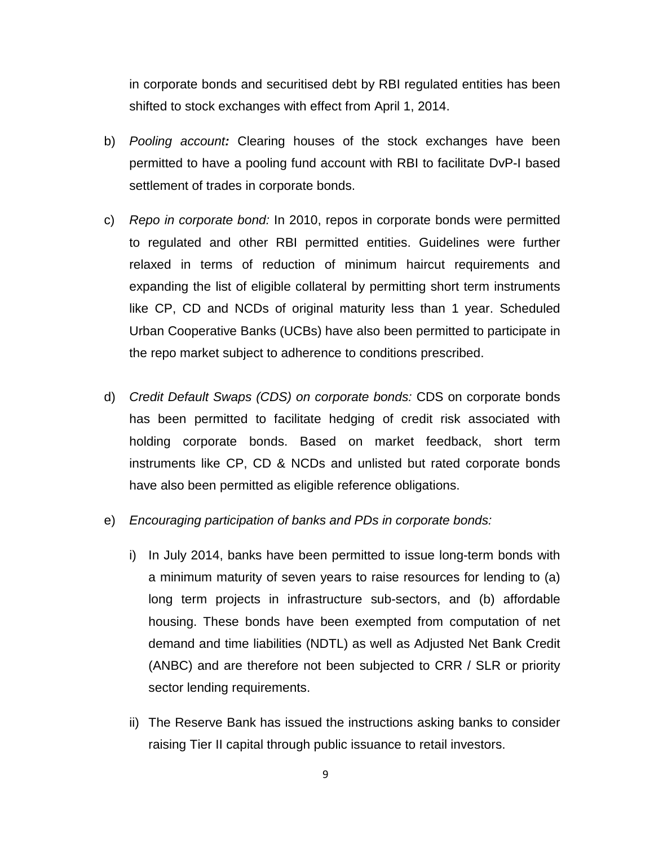in corporate bonds and securitised debt by RBI regulated entities has been shifted to stock exchanges with effect from April 1, 2014.

- b) *Pooling account:* Clearing houses of the stock exchanges have been permitted to have a pooling fund account with RBI to facilitate DvP-I based settlement of trades in corporate bonds.
- c) *Repo in corporate bond:* In 2010, repos in corporate bonds were permitted to regulated and other RBI permitted entities. Guidelines were further relaxed in terms of reduction of minimum haircut requirements and expanding the list of eligible collateral by permitting short term instruments like CP, CD and NCDs of original maturity less than 1 year. Scheduled Urban Cooperative Banks (UCBs) have also been permitted to participate in the repo market subject to adherence to conditions prescribed.
- d) *Credit Default Swaps (CDS) on corporate bonds:* CDS on corporate bonds has been permitted to facilitate hedging of credit risk associated with holding corporate bonds. Based on market feedback, short term instruments like CP, CD & NCDs and unlisted but rated corporate bonds have also been permitted as eligible reference obligations.
- e) *Encouraging participation of banks and PDs in corporate bonds:*
	- i) In July 2014, banks have been permitted to issue long-term bonds with a minimum maturity of seven years to raise resources for lending to (a) long term projects in infrastructure sub-sectors, and (b) affordable housing. These bonds have been exempted from computation of net demand and time liabilities (NDTL) as well as Adjusted Net Bank Credit (ANBC) and are therefore not been subjected to CRR / SLR or priority sector lending requirements.
	- ii) The Reserve Bank has issued the instructions asking banks to consider raising Tier II capital through public issuance to retail investors.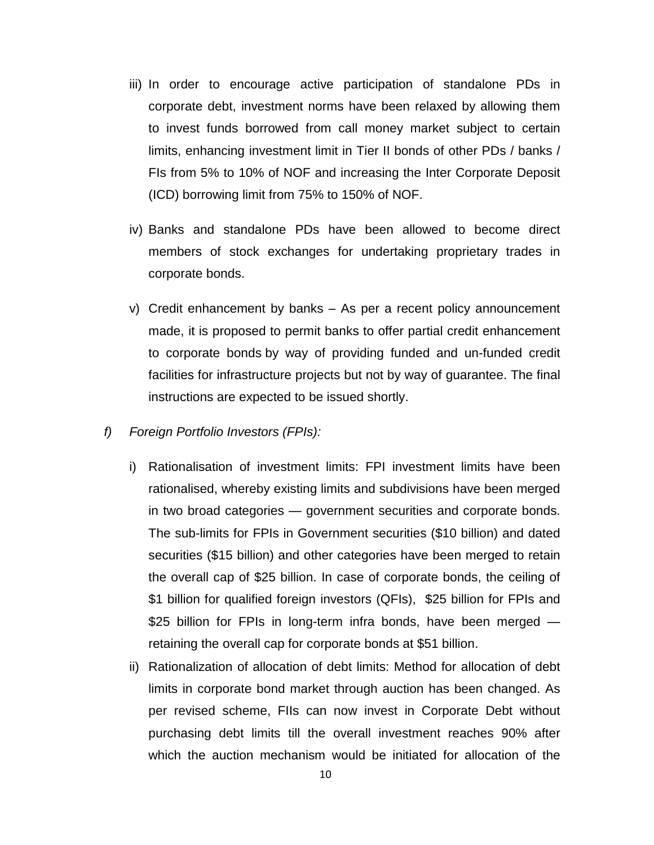- iii) In order to encourage active participation of standalone PDs in corporate debt, investment norms have been relaxed by allowing them to invest funds borrowed from call money market subject to certain limits, enhancing investment limit in Tier II bonds of other PDs / banks / FIs from 5% to 10% of NOF and increasing the Inter Corporate Deposit (ICD) borrowing limit from 75% to 150% of NOF.
- iv) Banks and standalone PDs have been allowed to become direct members of stock exchanges for undertaking proprietary trades in corporate bonds.
- v) Credit enhancement by banks As per a recent policy announcement made, it is proposed to permit banks to offer partial credit enhancement to corporate bonds by way of providing funded and un-funded credit facilities for infrastructure projects but not by way of guarantee. The final instructions are expected to be issued shortly.
- *f) Foreign Portfolio Investors (FPIs):*
	- i) Rationalisation of investment limits: FPI investment limits have been rationalised, whereby existing limits and subdivisions have been merged in two broad categories — government securities and corporate bonds. The sub-limits for FPIs in Government securities (\$10 billion) and dated securities (\$15 billion) and other categories have been merged to retain the overall cap of \$25 billion. In case of corporate bonds, the ceiling of \$1 billion for qualified foreign investors (QFIs), \$25 billion for FPIs and \$25 billion for FPIs in long-term infra bonds, have been merged retaining the overall cap for corporate bonds at \$51 billion.
	- ii) Rationalization of allocation of debt limits: Method for allocation of debt limits in corporate bond market through auction has been changed. As per revised scheme, FIIs can now invest in Corporate Debt without purchasing debt limits till the overall investment reaches 90% after which the auction mechanism would be initiated for allocation of the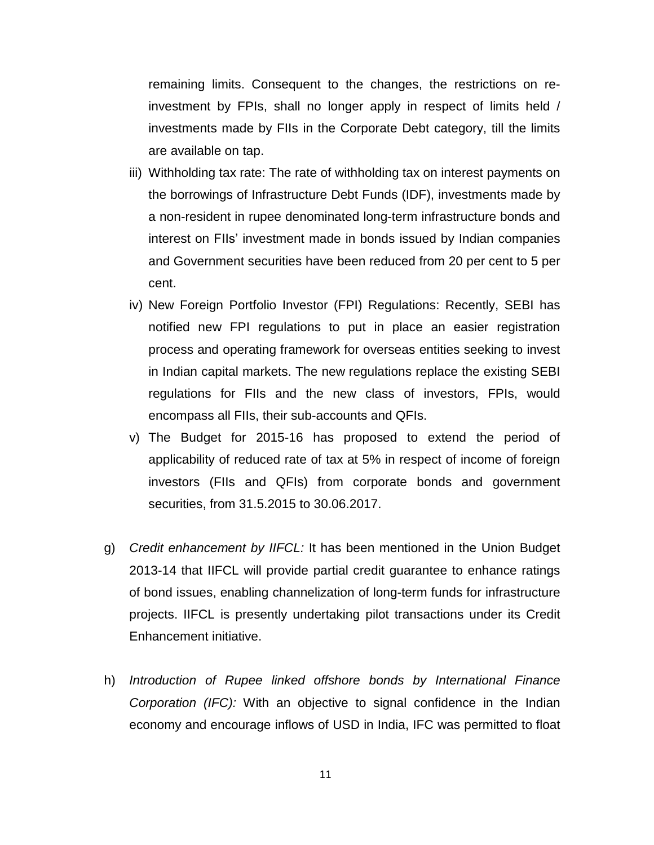remaining limits. Consequent to the changes, the restrictions on reinvestment by FPIs, shall no longer apply in respect of limits held / investments made by FIIs in the Corporate Debt category, till the limits are available on tap.

- iii) Withholding tax rate: The rate of withholding tax on interest payments on the borrowings of Infrastructure Debt Funds (IDF), investments made by a non-resident in rupee denominated long-term infrastructure bonds and interest on FIIs' investment made in bonds issued by Indian companies and Government securities have been reduced from 20 per cent to 5 per cent.
- iv) New Foreign Portfolio Investor (FPI) Regulations: Recently, SEBI has notified new FPI regulations to put in place an easier registration process and operating framework for overseas entities seeking to invest in Indian capital markets. The new regulations replace the existing SEBI regulations for FIIs and the new class of investors, FPIs, would encompass all FIIs, their sub-accounts and QFIs.
- v) The Budget for 2015-16 has proposed to extend the period of applicability of reduced rate of tax at 5% in respect of income of foreign investors (FIIs and QFIs) from corporate bonds and government securities, from 31.5.2015 to 30.06.2017.
- g) *Credit enhancement by IIFCL:* It has been mentioned in the Union Budget 2013-14 that IIFCL will provide partial credit guarantee to enhance ratings of bond issues, enabling channelization of long-term funds for infrastructure projects. IIFCL is presently undertaking pilot transactions under its Credit Enhancement initiative.
- h) *Introduction of Rupee linked offshore bonds by International Finance Corporation (IFC):* With an objective to signal confidence in the Indian economy and encourage inflows of USD in India, IFC was permitted to float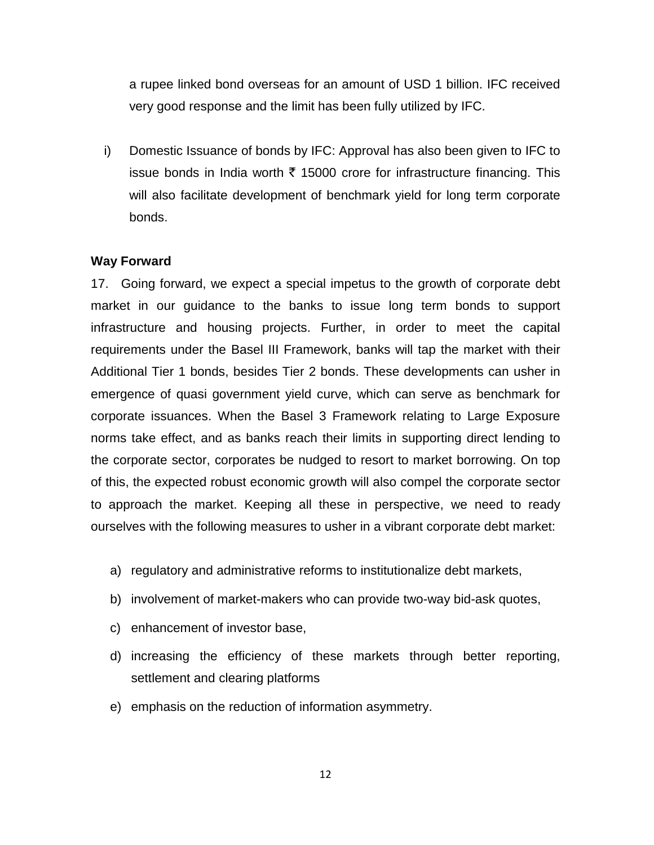a rupee linked bond overseas for an amount of USD 1 billion. IFC received very good response and the limit has been fully utilized by IFC.

i) Domestic Issuance of bonds by IFC: Approval has also been given to IFC to issue bonds in India worth  $\bar{\tau}$  15000 crore for infrastructure financing. This will also facilitate development of benchmark yield for long term corporate bonds.

### **Way Forward**

17. Going forward, we expect a special impetus to the growth of corporate debt market in our guidance to the banks to issue long term bonds to support infrastructure and housing projects. Further, in order to meet the capital requirements under the Basel III Framework, banks will tap the market with their Additional Tier 1 bonds, besides Tier 2 bonds. These developments can usher in emergence of quasi government yield curve, which can serve as benchmark for corporate issuances. When the Basel 3 Framework relating to Large Exposure norms take effect, and as banks reach their limits in supporting direct lending to the corporate sector, corporates be nudged to resort to market borrowing. On top of this, the expected robust economic growth will also compel the corporate sector to approach the market. Keeping all these in perspective, we need to ready ourselves with the following measures to usher in a vibrant corporate debt market:

- a) regulatory and administrative reforms to institutionalize debt markets,
- b) involvement of market-makers who can provide two-way bid-ask quotes,
- c) enhancement of investor base,
- d) increasing the efficiency of these markets through better reporting, settlement and clearing platforms
- e) emphasis on the reduction of information asymmetry.